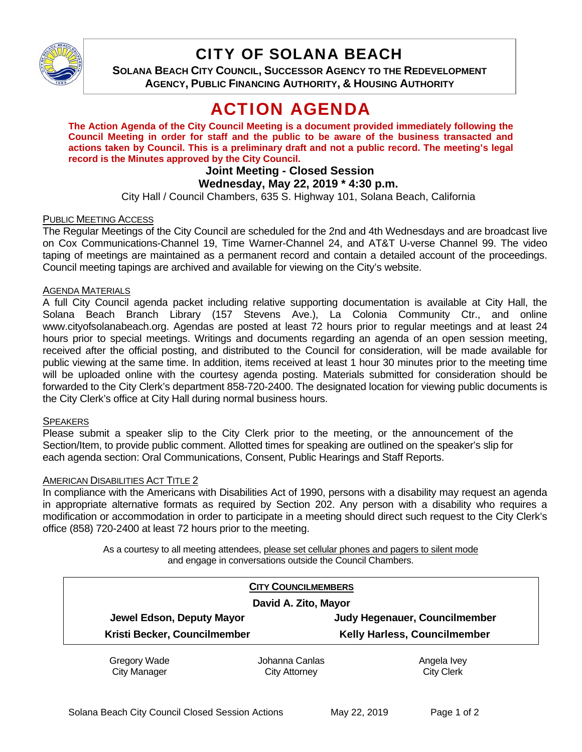

# CITY OF SOLANA BEACH

**SOLANA BEACH CITY COUNCIL, SUCCESSOR AGENCY TO THE REDEVELOPMENT AGENCY, PUBLIC FINANCING AUTHORITY, & HOUSING AUTHORITY** 

# ACTION AGENDA

**The Action Agenda of the City Council Meeting is a document provided immediately following the Council Meeting in order for staff and the public to be aware of the business transacted and actions taken by Council. This is a preliminary draft and not a public record. The meeting's legal record is the Minutes approved by the City Council.** 

# **Joint Meeting - Closed Session**

# **Wednesday, May 22, 2019 \* 4:30 p.m.**

City Hall / Council Chambers, 635 S. Highway 101, Solana Beach, California

### PUBLIC MEETING ACCESS

The Regular Meetings of the City Council are scheduled for the 2nd and 4th Wednesdays and are broadcast live on Cox Communications-Channel 19, Time Warner-Channel 24, and AT&T U-verse Channel 99. The video taping of meetings are maintained as a permanent record and contain a detailed account of the proceedings. Council meeting tapings are archived and available for viewing on the City's website.

## **AGENDA MATERIALS**

A full City Council agenda packet including relative supporting documentation is available at City Hall, the Solana Beach Branch Library (157 Stevens Ave.), La Colonia Community Ctr., and online www.cityofsolanabeach.org. Agendas are posted at least 72 hours prior to regular meetings and at least 24 hours prior to special meetings. Writings and documents regarding an agenda of an open session meeting, received after the official posting, and distributed to the Council for consideration, will be made available for public viewing at the same time. In addition, items received at least 1 hour 30 minutes prior to the meeting time will be uploaded online with the courtesy agenda posting. Materials submitted for consideration should be forwarded to the City Clerk's department 858-720-2400. The designated location for viewing public documents is the City Clerk's office at City Hall during normal business hours.

#### **SPEAKERS**

Please submit a speaker slip to the City Clerk prior to the meeting, or the announcement of the Section/Item, to provide public comment. Allotted times for speaking are outlined on the speaker's slip for each agenda section: Oral Communications, Consent, Public Hearings and Staff Reports.

#### **AMERICAN DISABILITIES ACT TITLE 2**

In compliance with the Americans with Disabilities Act of 1990, persons with a disability may request an agenda in appropriate alternative formats as required by Section 202. Any person with a disability who requires a modification or accommodation in order to participate in a meeting should direct such request to the City Clerk's office (858) 720-2400 at least 72 hours prior to the meeting.

> As a courtesy to all meeting attendees, please set cellular phones and pagers to silent mode and engage in conversations outside the Council Chambers.

| <b>CITY COUNCILMEMBERS</b><br>David A. Zito, Mayor |                      |                                     |
|----------------------------------------------------|----------------------|-------------------------------------|
|                                                    |                      |                                     |
| Kristi Becker, Councilmember                       |                      | <b>Kelly Harless, Councilmember</b> |
| Gregory Wade                                       | Johanna Canlas       | Angela Ivey                         |
| <b>City Manager</b>                                | <b>City Attorney</b> | <b>City Clerk</b>                   |